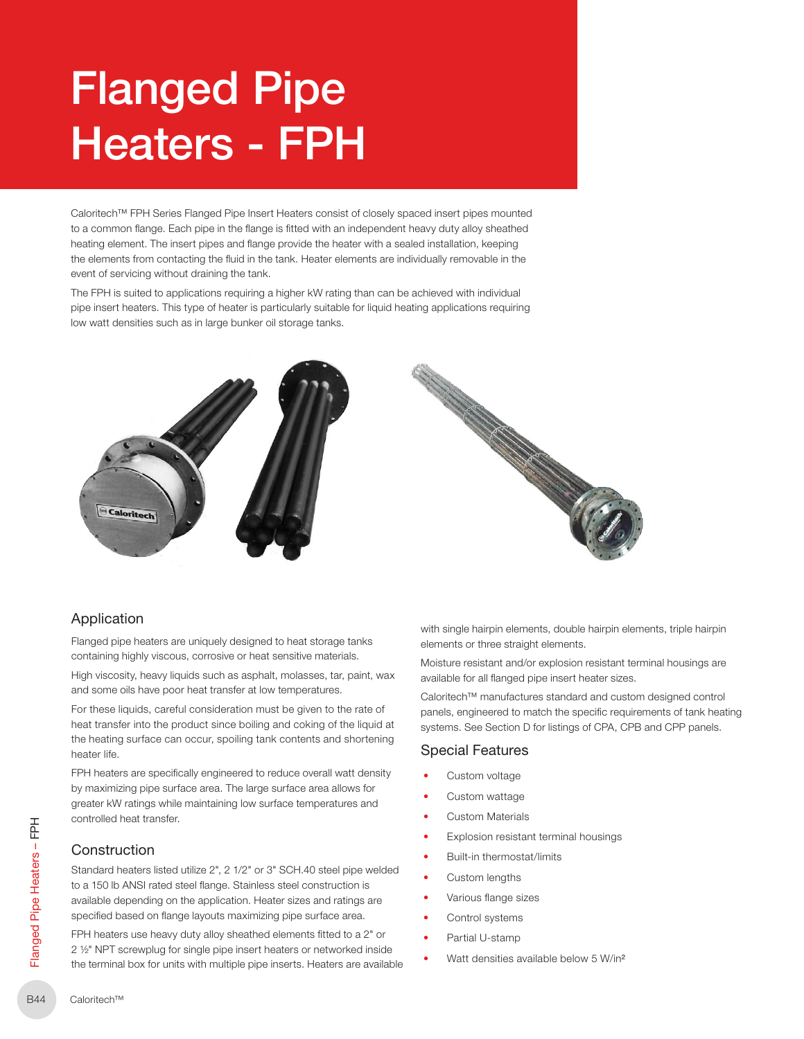# Flanged Pipe Heaters - FPH

Caloritech™ FPH Series Flanged Pipe Insert Heaters consist of closely spaced insert pipes mounted to a common flange. Each pipe in the flange is fitted with an independent heavy duty alloy sheathed heating element. The insert pipes and flange provide the heater with a sealed installation, keeping the elements from contacting the fluid in the tank. Heater elements are individually removable in the event of servicing without draining the tank.

The FPH is suited to applications requiring a higher kW rating than can be achieved with individual pipe insert heaters. This type of heater is particularly suitable for liquid heating applications requiring low watt densities such as in large bunker oil storage tanks.





# Application

Flanged pipe heaters are uniquely designed to heat storage tanks containing highly viscous, corrosive or heat sensitive materials.

High viscosity, heavy liquids such as asphalt, molasses, tar, paint, wax and some oils have poor heat transfer at low temperatures.

For these liquids, careful consideration must be given to the rate of heat transfer into the product since boiling and coking of the liquid at the heating surface can occur, spoiling tank contents and shortening heater life.

FPH heaters are specifically engineered to reduce overall watt density by maximizing pipe surface area. The large surface area allows for greater kW ratings while maintaining low surface temperatures and controlled heat transfer.

## **Construction**

EL<br>  $\frac{1}{4}$  Constru<br>
Standard h<br>
to a 150 lb .<br>
available de<br>
specified ba<br>
FPH heater<br>
2 1/2" NPT s<br>
the termina<br>
R44 Caloritech™ Standard heaters listed utilize 2", 2 1/2" or 3" SCH.40 steel pipe welded to a 150 lb ANSI rated steel flange. Stainless steel construction is available depending on the application. Heater sizes and ratings are specified based on flange layouts maximizing pipe surface area.

FPH heaters use heavy duty alloy sheathed elements fitted to a 2" or 2 ½" NPT screwplug for single pipe insert heaters or networked inside the terminal box for units with multiple pipe inserts. Heaters are available with single hairpin elements, double hairpin elements, triple hairpin elements or three straight elements.

Moisture resistant and/or explosion resistant terminal housings are available for all flanged pipe insert heater sizes.

Caloritech™ manufactures standard and custom designed control panels, engineered to match the specific requirements of tank heating systems. See Section D for listings of CPA, CPB and CPP panels.

# Special Features

- Custom voltage
- Custom wattage
- **Custom Materials**
- Explosion resistant terminal housings
- Built-in thermostat/limits
- Custom lengths
- Various flange sizes
- Control systems
- Partial U-stamp
- Watt densities available below 5 W/in²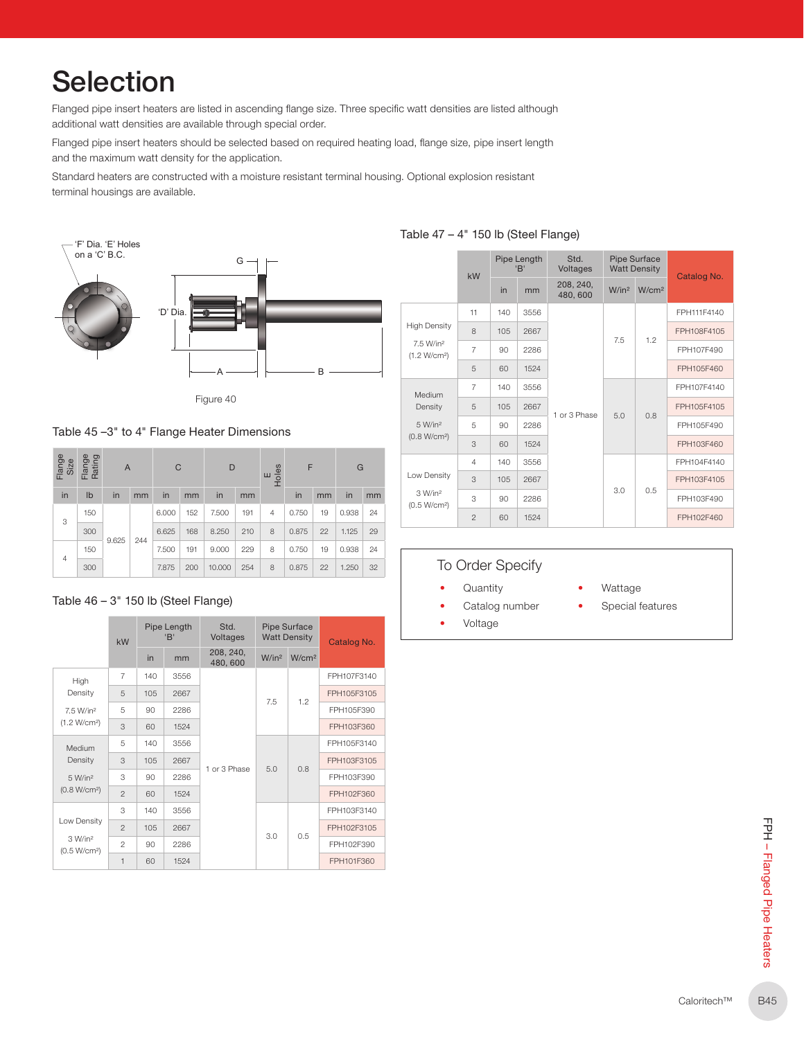# **Selection**

Flanged pipe insert heaters are listed in ascending flange size. Three specific watt densities are listed although additional watt densities are available through special order.

Flanged pipe insert heaters should be selected based on required heating load, flange size, pipe insert length and the maximum watt density for the application.

Standard heaters are constructed with a moisture resistant terminal housing. Optional explosion resistant terminal housings are available.



Figure 40

Table 45 –3" to 4" Flange Heater Dimensions

| Flange<br>Size | Flange<br>Rating | $\mathsf{A}$ |     | C     |     | D      |     | F<br>Holes<br>Ш |       |    | G     |    |
|----------------|------------------|--------------|-----|-------|-----|--------|-----|-----------------|-------|----|-------|----|
| in             | Ib               | in           | mm  | in    | mm  | in     | mm  |                 | in    | mm | in    | mm |
| 3              | 150              |              |     | 6.000 | 152 | 7.500  | 191 | $\overline{4}$  | 0.750 | 19 | 0.938 | 24 |
|                | 300              | 9.625        | 244 | 6.625 | 168 | 8.250  | 210 | 8               | 0.875 | 22 | 1.125 | 29 |
| $\overline{4}$ | 150              |              |     | 7.500 | 191 | 9.000  | 229 | 8               | 0.750 | 19 | 0.938 | 24 |
|                | 300              |              |     | 7.875 | 200 | 10.000 | 254 | 8               | 0.875 | 22 | 1.250 | 32 |

#### Table 46 – 3" 150 lb (Steel Flange)

|                                                   | kW             | Pipe Length<br>'B' |      | Std.<br>Voltages     |                   | <b>Pipe Surface</b><br><b>Watt Density</b> | Catalog No. |  |
|---------------------------------------------------|----------------|--------------------|------|----------------------|-------------------|--------------------------------------------|-------------|--|
|                                                   |                | in                 | mm   | 208, 240,<br>480,600 | W/in <sup>2</sup> | W/cm <sup>2</sup>                          |             |  |
| High                                              | $\overline{7}$ | 140                | 3556 |                      |                   |                                            | FPH107F3140 |  |
| Density                                           | 5              | 105                | 2667 |                      | 7.5               | 1.2                                        | FPH105F3105 |  |
| 7.5 W/in <sup>2</sup><br>(1.2 W/cm <sup>2</sup> ) | 5              | 90                 | 2286 | 1 or 3 Phase         |                   |                                            | FPH105F390  |  |
|                                                   | 3              | 60                 | 1524 |                      |                   |                                            | FPH103F360  |  |
| Medium                                            | 5              | 140                | 3556 |                      | 5.0               | 0.8                                        | FPH105F3140 |  |
| Density                                           | 3              | 105                | 2667 |                      |                   |                                            | FPH103F3105 |  |
| 5 W/in <sup>2</sup>                               | 3              | 90                 | 2286 |                      |                   |                                            | FPH103F390  |  |
| (0.8 W/cm <sup>2</sup> )                          | $\mathfrak{p}$ | 60                 | 1524 |                      |                   |                                            | FPH102F360  |  |
|                                                   | 3              | 140                | 3556 |                      |                   |                                            | FPH103F3140 |  |
| Low Density                                       | $\mathfrak{p}$ | 105                | 2667 |                      | 3.0               |                                            | FPH102F3105 |  |
| 3 W/in <sup>2</sup><br>(0.5 W/cm <sup>2</sup> )   | $\mathfrak{p}$ | 90                 | 2286 |                      |                   | 0.5                                        | FPH102F390  |  |
|                                                   | 1              | 60                 | 1524 |                      |                   |                                            | FPH101F360  |  |

|                                                             | kW             |     | Pipe Length<br>'B' | Std.<br>Voltages     | Pipe Surface<br><b>Watt Density</b> |                   | Catalog No. |  |
|-------------------------------------------------------------|----------------|-----|--------------------|----------------------|-------------------------------------|-------------------|-------------|--|
|                                                             |                | in  | mm                 | 208, 240,<br>480,600 | W/in <sup>2</sup>                   | W/cm <sup>2</sup> |             |  |
|                                                             | 11             | 140 | 3556               |                      |                                     |                   | FPH111F4140 |  |
| <b>High Density</b>                                         | 8              | 105 | 2667               |                      | 7.5                                 | 1.2               | FPH108F4105 |  |
| 7.5 W/in <sup>2</sup><br>(1.2 W/cm <sup>2</sup> )<br>Medium | $\overline{7}$ | 90  | 2286               |                      |                                     |                   | FPH107F490  |  |
|                                                             | 5              | 60  | 1524               |                      |                                     |                   | FPH105F460  |  |
|                                                             | $\overline{7}$ | 140 | 3556               |                      | 5.0                                 |                   | FPH107F4140 |  |
| Density                                                     | 5              | 105 | 2667               | 1 or 3 Phase         |                                     | 0.8               | FPH105F4105 |  |
| 5 W/in <sup>2</sup>                                         | 5              | 90  | 2286               |                      |                                     |                   | FPH105F490  |  |
| (0.8 W/cm <sup>2</sup> )                                    | 3              | 60  | 1524               |                      |                                     |                   | FPH103F460  |  |
|                                                             | $\overline{4}$ | 140 | 3556               |                      |                                     |                   | FPH104F4140 |  |
| Low Density                                                 | 3              | 105 | 2667               |                      |                                     |                   | FPH103F4105 |  |
| 3 W/in <sup>2</sup><br>(0.5 W/cm <sup>2</sup> )             | 3              | 90  | 2286               |                      | 3.0                                 | 0.5               | FPH103F490  |  |
|                                                             | $\overline{2}$ | 60  | 1524               |                      |                                     |                   | FPH102F460  |  |

# To Order Specify

- Quantity
- Catalog number
	-
- Wattage
- Special features
- Voltage
-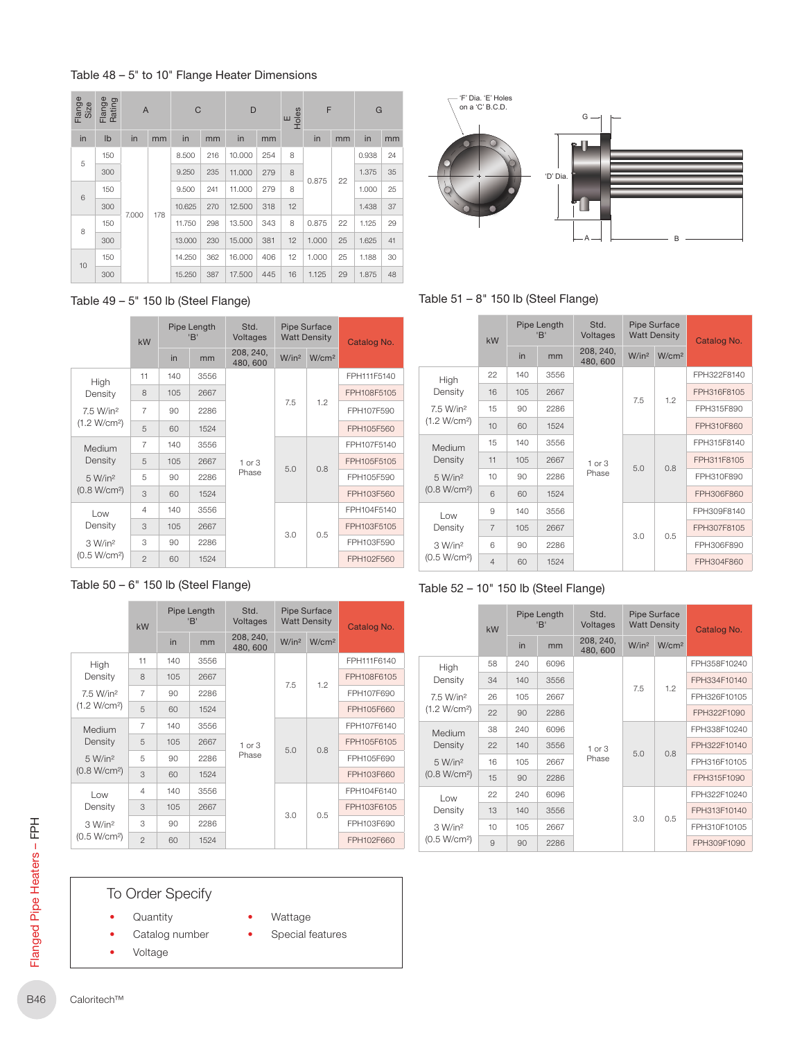#### Table 48 – 5" to 10" Flange Heater Dimensions

| Flange<br>Size | Flange<br>Rating | A     |     | $\mathsf{C}$ |     | D      |     |    | F<br>$\frac{1}{2}$ |    | G     |    |
|----------------|------------------|-------|-----|--------------|-----|--------|-----|----|--------------------|----|-------|----|
| in             | Ib               | in    | mm  | in           | mm  | in     | mm  |    | in                 | mm | in    | mm |
| 5              | 150              |       |     | 8.500        | 216 | 10.000 | 254 | 8  |                    |    | 0.938 | 24 |
|                | 300              |       |     | 9.250        | 235 | 11.000 | 279 | 8  |                    | 22 | 1.375 | 35 |
| 6              | 150              |       |     | 9.500        | 241 | 11.000 | 279 | 8  | 0.875              |    | 1.000 | 25 |
|                | 300              |       |     | 10.625       | 270 | 12.500 | 318 | 12 |                    |    | 1.438 | 37 |
| 8              | 150              | 7.000 | 178 | 11.750       | 298 | 13.500 | 343 | 8  | 0.875              | 22 | 1.125 | 29 |
|                | 300              |       |     | 13.000       | 230 | 15.000 | 381 | 12 | 1.000              | 25 | 1.625 | 41 |
| 10             | 150              |       |     | 14.250       | 362 | 16.000 | 406 | 12 | 1.000              | 25 | 1.188 | 30 |
|                | 300              |       |     | 15.250       | 387 | 17.500 | 445 | 16 | 1.125              | 29 | 1.875 | 48 |



Table 51 – 8" 150 lb (Steel Flange)

|                                                            | kW             |                                  | Pipe Length<br>'B' | Std.<br><b>Voltages</b> |                   | <b>Pipe Surface</b><br><b>Watt Density</b> | Catalog No. |
|------------------------------------------------------------|----------------|----------------------------------|--------------------|-------------------------|-------------------|--------------------------------------------|-------------|
|                                                            |                | 208, 240,<br>in<br>mm<br>480,600 |                    | W/in <sup>2</sup>       | W/cm <sup>2</sup> |                                            |             |
| High                                                       | 22             | 140                              | 3556               |                         |                   |                                            | FPH322F8140 |
| Density                                                    | 16             | 105                              | 2667               | $1$ or $3$              | 7.5               | 1.2                                        | FPH316F8105 |
| 7.5 W/in <sup>2</sup><br>(1.2 W/cm <sup>2</sup> )          | 15             | 90                               | 2286               |                         |                   |                                            | FPH315F890  |
|                                                            | 10             | 60                               | 1524               |                         |                   |                                            | FPH310F860  |
| Medium                                                     | 15             | 140                              | 3556               |                         |                   |                                            | FPH315F8140 |
| Density                                                    | 11             | 105                              | 2667               |                         | 5.0               | 0.8                                        | FPH311F8105 |
| 5 W/in <sup>2</sup>                                        | 10             | 90                               | 2286               | Phase                   |                   |                                            | FPH310F890  |
| (0.8 W/cm <sup>2</sup> )                                   | 6              | 60                               | 1524               |                         |                   |                                            | FPH306F860  |
| Low                                                        | 9              | 140                              | 3556               |                         |                   |                                            | FPH309F8140 |
| Density<br>3 W/in <sup>2</sup><br>(0.5 W/cm <sup>2</sup> ) | $\overline{7}$ | 105                              | 2667               |                         | 3.0               | 0.5                                        | FPH307F8105 |
|                                                            | 6              | 90                               | 2286               |                         |                   |                                            | FPH306F890  |
|                                                            | $\overline{4}$ | 60                               | 1524               |                         |                   |                                            | FPH304F860  |



|                          | kW | Pipe Length<br>'B' |      | Std.<br>Voltages     |                   | <b>Pipe Surface</b><br><b>Watt Density</b> | Catalog No.  |  |
|--------------------------|----|--------------------|------|----------------------|-------------------|--------------------------------------------|--------------|--|
|                          |    | in                 | mm   | 208, 240,<br>480,600 | W/in <sup>2</sup> | W/cm <sup>2</sup>                          |              |  |
| High                     | 58 | 240                | 6096 |                      |                   |                                            | FPH358F10240 |  |
| Density                  | 34 | 140                | 3556 | $1$ or $3$           | 7.5               |                                            | FPH334F10140 |  |
| 7.5 W/in <sup>2</sup>    | 26 | 105                | 2667 |                      |                   | 1.2                                        | FPH326F10105 |  |
| (1.2 W/cm <sup>2</sup> ) | 22 | 90                 | 2286 |                      |                   |                                            | FPH322F1090  |  |
| Medium                   | 38 | 240                | 6096 |                      |                   |                                            | FPH338F10240 |  |
| Density                  | 22 | 140                | 3556 |                      | 5.0               | 0.8                                        | FPH322F10140 |  |
| 5 W/in <sup>2</sup>      | 16 | 105                | 2667 | Phase                |                   |                                            | FPH316F10105 |  |
| (0.8 W/cm <sup>2</sup> ) | 15 | 90                 | 2286 |                      |                   |                                            | FPH315F1090  |  |
| Low                      | 22 | 240                | 6096 |                      |                   |                                            | FPH322F10240 |  |
| Density                  | 13 | 140                | 3556 |                      | 3.0               |                                            | FPH313F10140 |  |
| 3 W/in <sup>2</sup>      | 10 | 105                | 2667 |                      |                   | 0.5                                        | FPH310F10105 |  |
| (0.5 W/cm <sup>2</sup> ) | 9  | 90                 | 2286 |                      |                   |                                            | FPH309F1090  |  |

#### Table 49 – 5" 150 lb (Steel Flange)

|                                                              | kW             |     | Pipe Length<br>'B' | Std.<br>Voltages     |                   | <b>Pipe Surface</b><br><b>Watt Density</b> | Catalog No. |  |
|--------------------------------------------------------------|----------------|-----|--------------------|----------------------|-------------------|--------------------------------------------|-------------|--|
|                                                              |                | in  | mm                 | 208, 240,<br>480,600 | W/in <sup>2</sup> | W/cm <sup>2</sup>                          |             |  |
| High                                                         | 11             | 140 | 3556               |                      |                   |                                            | FPH111F5140 |  |
| Density<br>7.5 W/in <sup>2</sup><br>(1.2 W/cm <sup>2</sup> ) | 8              | 105 | 2667               | $1$ or $3$           |                   |                                            | FPH108F5105 |  |
|                                                              | $\overline{7}$ | 90  | 2286               |                      | 7.5               | 1.2                                        | FPH107F590  |  |
|                                                              | 5              | 60  | 1524               |                      |                   |                                            | FPH105F560  |  |
| Medium                                                       | $\overline{7}$ | 140 | 3556               |                      |                   |                                            | FPH107F5140 |  |
| Density                                                      | 5              | 105 | 2667               |                      | 5.0               | 0.8                                        | FPH105F5105 |  |
| 5 W/in <sup>2</sup>                                          | 5              | 90  | 2286               | Phase                |                   |                                            | FPH105F590  |  |
| (0.8 W/cm <sup>2</sup> )                                     | 3              | 60  | 1524               |                      |                   |                                            | FPH103F560  |  |
| Low                                                          | 4              | 140 | 3556               |                      |                   |                                            | FPH104F5140 |  |
| Density                                                      | 3              | 105 | 2667               |                      | 3.0               | 0.5                                        | FPH103F5105 |  |
| 3 W/in <sup>2</sup>                                          | 3              | 90  | 2286               |                      |                   |                                            | FPH103F590  |  |
| (0.5 W/cm <sup>2</sup> )                                     | $\mathfrak{D}$ | 60  | 1524               |                      |                   |                                            | FPH102F560  |  |

#### Table 50 – 6" 150 lb (Steel Flange)

|                          | Pipe Length<br>'B'<br>kW |     | Std.<br>Voltages | <b>Pipe Surface</b><br><b>Watt Density</b> |                   | Catalog No.       |             |
|--------------------------|--------------------------|-----|------------------|--------------------------------------------|-------------------|-------------------|-------------|
|                          |                          | in  | mm               | 208, 240,<br>480,600                       | W/in <sup>2</sup> | W/cm <sup>2</sup> |             |
| High                     | 11                       | 140 | 3556             |                                            |                   |                   | FPH111F6140 |
| Density                  | 8                        | 105 | 2667             | $1$ or $3$<br>Phase                        |                   | 1.2               | FPH108F6105 |
| 7.5 W/in <sup>2</sup>    | $\overline{7}$           | 90  | 2286             |                                            | 7.5               |                   | FPH107F690  |
| (1.2 W/cm <sup>2</sup> ) | 5                        | 60  | 1524             |                                            |                   |                   | FPH105F660  |
| Medium                   | $\overline{7}$           | 140 | 3556             |                                            |                   |                   | FPH107F6140 |
| Density                  | 5                        | 105 | 2667             |                                            | 5.0               | 0.8               | FPH105F6105 |
| 5 W/in <sup>2</sup>      | 5                        | 90  | 2286             |                                            |                   |                   | FPH105F690  |
| (0.8 W/cm <sup>2</sup> ) | 3                        | 60  | 1524             |                                            |                   |                   | FPH103F660  |
| Low                      | 4                        | 140 | 3556             |                                            |                   |                   | FPH104F6140 |
| Density                  | 3                        | 105 | 2667             |                                            | 3.0               | 0.5               | FPH103F6105 |
| 3 W/in <sup>2</sup>      | 3                        | 90  | 2286             |                                            |                   |                   | FPH103F690  |
| (0.5 W/cm <sup>2</sup> ) | $\mathfrak{D}$           | 60  | 1524             |                                            |                   |                   | FPH102F660  |

# To Order Specify

- **Quantity** 
	- Catalog number
- Voltage
- Wattage
- Special features